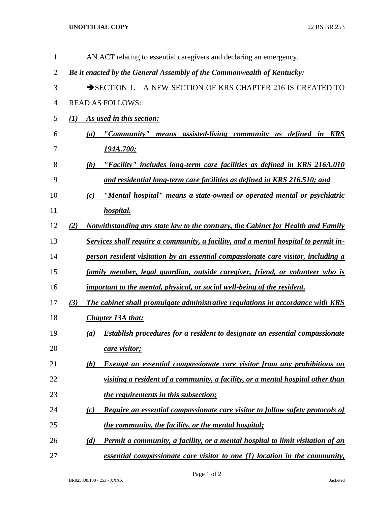## **UNOFFICIAL COPY** 22 RS BR 253

| 1              | AN ACT relating to essential caregivers and declaring an emergency.                     |
|----------------|-----------------------------------------------------------------------------------------|
| $\overline{2}$ | Be it enacted by the General Assembly of the Commonwealth of Kentucky:                  |
| 3              | SECTION 1. A NEW SECTION OF KRS CHAPTER 216 IS CREATED TO                               |
| 4              | <b>READ AS FOLLOWS:</b>                                                                 |
| 5              | As used in this section:<br>(I)                                                         |
| 6              | "Community" means assisted-living community as defined in KRS<br>(a)                    |
| 7              | <u>194A.700;</u>                                                                        |
| 8              | "Facility" includes long-term care facilities as defined in KRS 216A.010<br>(b)         |
| 9              | and residential long-term care facilities as defined in KRS 216.510; and                |
| 10             | "Mental hospital" means a state-owned or operated mental or psychiatric<br>(c)          |
| 11             | hospital.                                                                               |
| 12             | Notwithstanding any state law to the contrary, the Cabinet for Health and Family<br>(2) |
| 13             | Services shall require a community, a facility, and a mental hospital to permit in-     |
| 14             | person resident visitation by an essential compassionate care visitor, including a      |
| 15             | <u>family member, legal guardian, outside caregiver, friend, or volunteer who is</u>    |
| 16             | important to the mental, physical, or social well-being of the resident.                |
| 17             | The cabinet shall promulgate administrative regulations in accordance with KRS<br>(3)   |
| 18             | <b>Chapter 13A that:</b>                                                                |
| 19             | Establish procedures for a resident to designate an essential compassionate<br>(a)      |
| 20             | care visitor;                                                                           |
| 21             | <b>Exempt an essential compassionate care visitor from any prohibitions on</b><br>(b)   |
| 22             | visiting a resident of a community, a facility, or a mental hospital other than         |
| 23             | <i>the requirements in this subsection;</i>                                             |
| 24             | Require an essential compassionate care visitor to follow safety protocols of<br>(c)    |
| 25             | the community, the facility, or the mental hospital;                                    |
| 26             | Permit a community, a facility, or a mental hospital to limit visitation of an<br>(d)   |
| 27             | essential compassionate care visitor to one $(1)$ location in the community,            |